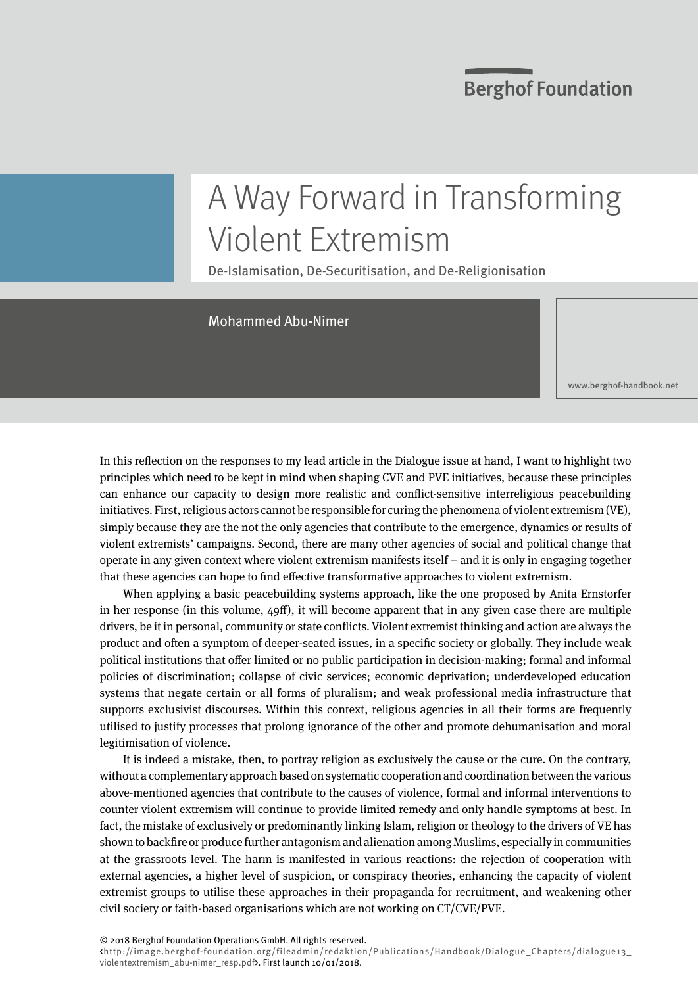## **Berghof Foundation**

# A Way Forward in Transforming Violent Extremism

De-Islamisation, De-Securitisation, and De-Religionisation

### Mohammed Abu-Nimer

<www.berghof-handbook.net>

In this reflection on the responses to my lead article in the Dialogue issue at hand, I want to highlight two principles which need to be kept in mind when shaping CVE and PVE initiatives, because these principles can enhance our capacity to design more realistic and conflict-sensitive interreligious peacebuilding initiatives. First, religious actors cannot be responsible for curing the phenomena of violent extremism (VE), simply because they are the not the only agencies that contribute to the emergence, dynamics or results of violent extremists' campaigns. Second, there are many other agencies of social and political change that operate in any given context where violent extremism manifests itself – and it is only in engaging together that these agencies can hope to find effective transformative approaches to violent extremism.

When applying a basic peacebuilding systems approach, like the one proposed by Anita Ernstorfer in her response (in this volume, 49ff), it will become apparent that in any given case there are multiple drivers, be it in personal, community or state conflicts. Violent extremist thinking and action are always the product and often a symptom of deeper-seated issues, in a specific society or globally. They include weak political institutions that offer limited or no public participation in decision-making; formal and informal policies of discrimination; collapse of civic services; economic deprivation; underdeveloped education systems that negate certain or all forms of pluralism; and weak professional media infrastructure that supports exclusivist discourses. Within this context, religious agencies in all their forms are frequently utilised to justify processes that prolong ignorance of the other and promote dehumanisation and moral legitimisation of violence.

It is indeed a mistake, then, to portray religion as exclusively the cause or the cure. On the contrary, without a complementary approach based on systematic cooperation and coordination between the various above-mentioned agencies that contribute to the causes of violence, formal and informal interventions to counter violent extremism will continue to provide limited remedy and only handle symptoms at best. In fact, the mistake of exclusively or predominantly linking Islam, religion or theology to the drivers of VE has shown to backfire or produce further antagonism and alienation among Muslims, especially in communities at the grassroots level. The harm is manifested in various reactions: the rejection of cooperation with external agencies, a higher level of suspicion, or conspiracy theories, enhancing the capacity of violent extremist groups to utilise these approaches in their propaganda for recruitment, and weakening other civil society or faith-based organisations which are not working on CT/CVE/PVE.

© 2018 Berghof Foundation Operations GmbH. All rights reserved.

<http://image.berghof-foundation.org/fileadmin/redaktion/Publications/Handbook/Dialogue\_Chapters/dialogue13\_ violentextremism\_abu-nimer\_resp.pdf>. First launch 10/01/2018.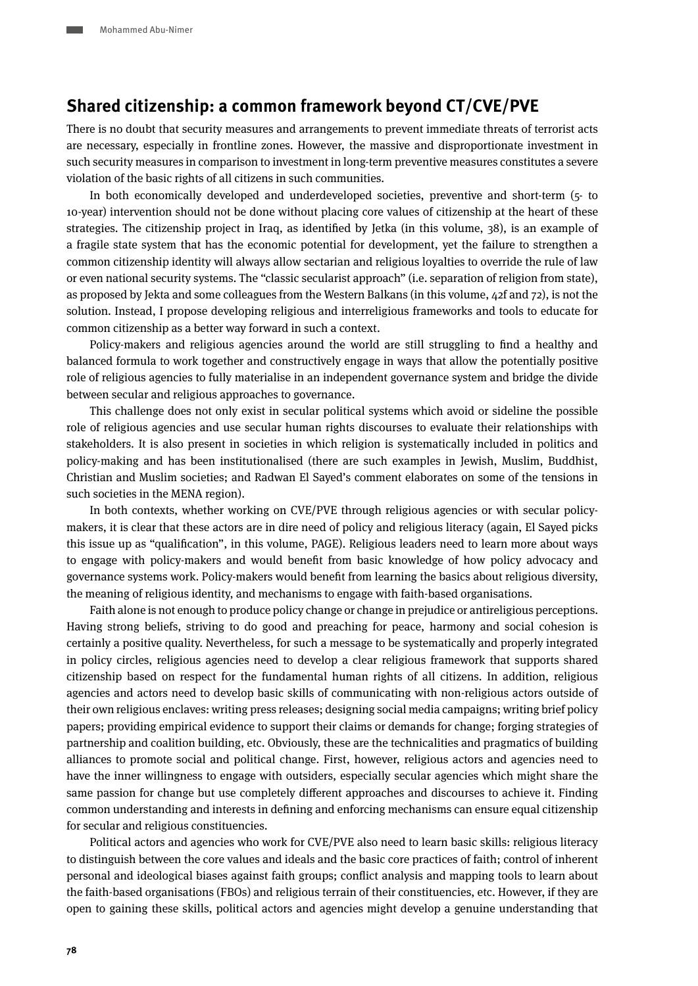## **Shared citizenship: a common framework beyond CT/CVE/PVE**

There is no doubt that security measures and arrangements to prevent immediate threats of terrorist acts are necessary, especially in frontline zones. However, the massive and disproportionate investment in such security measures in comparison to investment in long-term preventive measures constitutes a severe violation of the basic rights of all citizens in such communities.

In both economically developed and underdeveloped societies, preventive and short-term (5- to 10-year) intervention should not be done without placing core values of citizenship at the heart of these strategies. The citizenship project in Iraq, as identified by Jetka (in this volume, 38), is an example of a fragile state system that has the economic potential for development, yet the failure to strengthen a common citizenship identity will always allow sectarian and religious loyalties to override the rule of law or even national security systems. The "classic secularist approach" (i.e. separation of religion from state), as proposed by Jekta and some colleagues from the Western Balkans (in this volume, 42f and 72), is not the solution. Instead, I propose developing religious and interreligious frameworks and tools to educate for common citizenship as a better way forward in such a context.

Policy-makers and religious agencies around the world are still struggling to find a healthy and balanced formula to work together and constructively engage in ways that allow the potentially positive role of religious agencies to fully materialise in an independent governance system and bridge the divide between secular and religious approaches to governance.

This challenge does not only exist in secular political systems which avoid or sideline the possible role of religious agencies and use secular human rights discourses to evaluate their relationships with stakeholders. It is also present in societies in which religion is systematically included in politics and policy-making and has been institutionalised (there are such examples in Jewish, Muslim, Buddhist, Christian and Muslim societies; and Radwan El Sayed's comment elaborates on some of the tensions in such societies in the MENA region).

In both contexts, whether working on CVE/PVE through religious agencies or with secular policymakers, it is clear that these actors are in dire need of policy and religious literacy (again, El Sayed picks this issue up as "qualification", in this volume, PAGE). Religious leaders need to learn more about ways to engage with policy-makers and would benefit from basic knowledge of how policy advocacy and governance systems work. Policy-makers would benefit from learning the basics about religious diversity, the meaning of religious identity, and mechanisms to engage with faith-based organisations.

Faith alone is not enough to produce policy change or change in prejudice or antireligious perceptions. Having strong beliefs, striving to do good and preaching for peace, harmony and social cohesion is certainly a positive quality. Nevertheless, for such a message to be systematically and properly integrated in policy circles, religious agencies need to develop a clear religious framework that supports shared citizenship based on respect for the fundamental human rights of all citizens. In addition, religious agencies and actors need to develop basic skills of communicating with non-religious actors outside of their own religious enclaves: writing press releases; designing social media campaigns; writing brief policy papers; providing empirical evidence to support their claims or demands for change; forging strategies of partnership and coalition building, etc. Obviously, these are the technicalities and pragmatics of building alliances to promote social and political change. First, however, religious actors and agencies need to have the inner willingness to engage with outsiders, especially secular agencies which might share the same passion for change but use completely different approaches and discourses to achieve it. Finding common understanding and interests in defining and enforcing mechanisms can ensure equal citizenship for secular and religious constituencies.

Political actors and agencies who work for CVE/PVE also need to learn basic skills: religious literacy to distinguish between the core values and ideals and the basic core practices of faith; control of inherent personal and ideological biases against faith groups; conflict analysis and mapping tools to learn about the faith-based organisations (FBOs) and religious terrain of their constituencies, etc. However, if they are open to gaining these skills, political actors and agencies might develop a genuine understanding that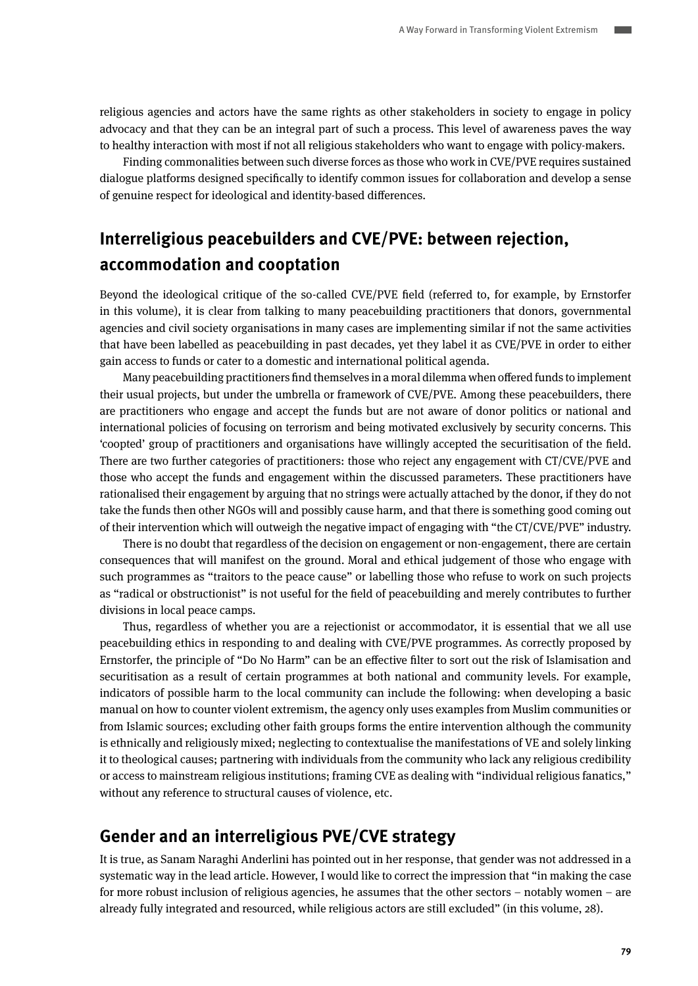religious agencies and actors have the same rights as other stakeholders in society to engage in policy advocacy and that they can be an integral part of such a process. This level of awareness paves the way to healthy interaction with most if not all religious stakeholders who want to engage with policy-makers.

Finding commonalities between such diverse forces as those who work in CVE/PVE requires sustained dialogue platforms designed specifically to identify common issues for collaboration and develop a sense of genuine respect for ideological and identity-based differences.

## **Interreligious peacebuilders and CVE/PVE: between rejection, accommodation and cooptation**

Beyond the ideological critique of the so-called CVE/PVE field (referred to, for example, by Ernstorfer in this volume), it is clear from talking to many peacebuilding practitioners that donors, governmental agencies and civil society organisations in many cases are implementing similar if not the same activities that have been labelled as peacebuilding in past decades, yet they label it as CVE/PVE in order to either gain access to funds or cater to a domestic and international political agenda.

Many peacebuilding practitioners find themselves in a moral dilemma when offered funds to implement their usual projects, but under the umbrella or framework of CVE/PVE. Among these peacebuilders, there are practitioners who engage and accept the funds but are not aware of donor politics or national and international policies of focusing on terrorism and being motivated exclusively by security concerns. This 'coopted' group of practitioners and organisations have willingly accepted the securitisation of the field. There are two further categories of practitioners: those who reject any engagement with CT/CVE/PVE and those who accept the funds and engagement within the discussed parameters. These practitioners have rationalised their engagement by arguing that no strings were actually attached by the donor, if they do not take the funds then other NGOs will and possibly cause harm, and that there is something good coming out of their intervention which will outweigh the negative impact of engaging with "the CT/CVE/PVE" industry.

There is no doubt that regardless of the decision on engagement or non-engagement, there are certain consequences that will manifest on the ground. Moral and ethical judgement of those who engage with such programmes as "traitors to the peace cause" or labelling those who refuse to work on such projects as "radical or obstructionist" is not useful for the field of peacebuilding and merely contributes to further divisions in local peace camps.

Thus, regardless of whether you are a rejectionist or accommodator, it is essential that we all use peacebuilding ethics in responding to and dealing with CVE/PVE programmes. As correctly proposed by Ernstorfer, the principle of "Do No Harm" can be an effective filter to sort out the risk of Islamisation and securitisation as a result of certain programmes at both national and community levels. For example, indicators of possible harm to the local community can include the following: when developing a basic manual on how to counter violent extremism, the agency only uses examples from Muslim communities or from Islamic sources; excluding other faith groups forms the entire intervention although the community is ethnically and religiously mixed; neglecting to contextualise the manifestations of VE and solely linking it to theological causes; partnering with individuals from the community who lack any religious credibility or access to mainstream religious institutions; framing CVE as dealing with "individual religious fanatics," without any reference to structural causes of violence, etc.

## **Gender and an interreligious PVE/CVE strategy**

It is true, as Sanam Naraghi Anderlini has pointed out in her response, that gender was not addressed in a systematic way in the lead article. However, I would like to correct the impression that "in making the case for more robust inclusion of religious agencies, he assumes that the other sectors – notably women – are already fully integrated and resourced, while religious actors are still excluded" (in this volume, 28).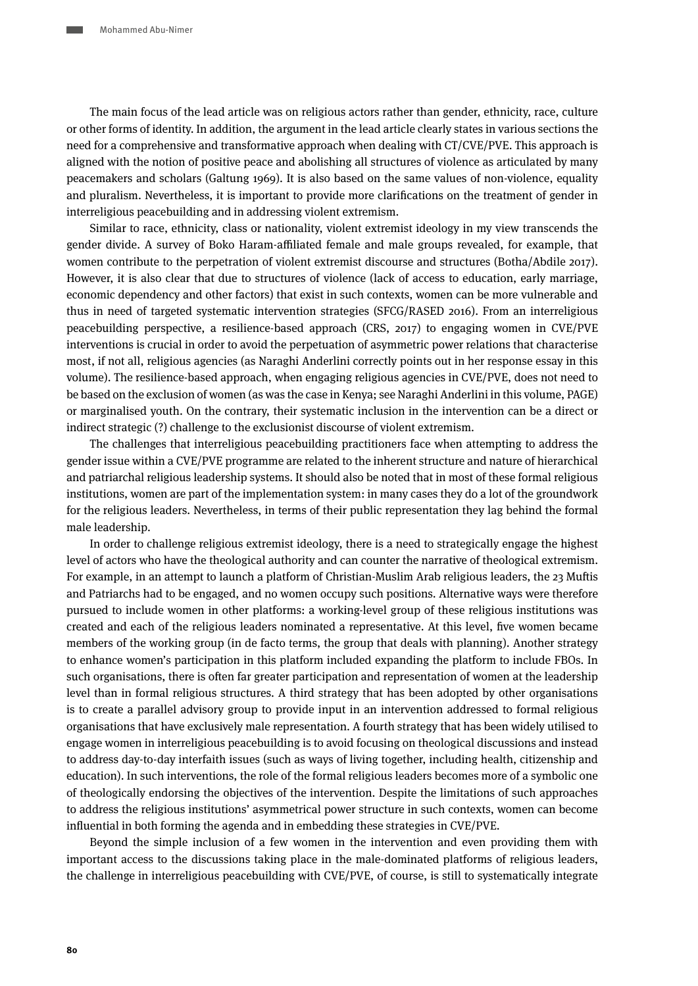The main focus of the lead article was on religious actors rather than gender, ethnicity, race, culture or other forms of identity. In addition, the argument in the lead article clearly states in various sections the need for a comprehensive and transformative approach when dealing with CT/CVE/PVE. This approach is aligned with the notion of positive peace and abolishing all structures of violence as articulated by many peacemakers and scholars (Galtung 1969). It is also based on the same values of non-violence, equality and pluralism. Nevertheless, it is important to provide more clarifications on the treatment of gender in interreligious peacebuilding and in addressing violent extremism.

Similar to race, ethnicity, class or nationality, violent extremist ideology in my view transcends the gender divide. A survey of Boko Haram-affiliated female and male groups revealed, for example, that women contribute to the perpetration of violent extremist discourse and structures (Botha/Abdile 2017). However, it is also clear that due to structures of violence (lack of access to education, early marriage, economic dependency and other factors) that exist in such contexts, women can be more vulnerable and thus in need of targeted systematic intervention strategies (SFCG/RASED 2016). From an interreligious peacebuilding perspective, a resilience-based approach (CRS, 2017) to engaging women in CVE/PVE interventions is crucial in order to avoid the perpetuation of asymmetric power relations that characterise most, if not all, religious agencies (as Naraghi Anderlini correctly points out in her response essay in this volume). The resilience-based approach, when engaging religious agencies in CVE/PVE, does not need to be based on the exclusion of women (as was the case in Kenya; see Naraghi Anderlini in this volume, PAGE) or marginalised youth. On the contrary, their systematic inclusion in the intervention can be a direct or indirect strategic (?) challenge to the exclusionist discourse of violent extremism.

The challenges that interreligious peacebuilding practitioners face when attempting to address the gender issue within a CVE/PVE programme are related to the inherent structure and nature of hierarchical and patriarchal religious leadership systems. It should also be noted that in most of these formal religious institutions, women are part of the implementation system: in many cases they do a lot of the groundwork for the religious leaders. Nevertheless, in terms of their public representation they lag behind the formal male leadership.

In order to challenge religious extremist ideology, there is a need to strategically engage the highest level of actors who have the theological authority and can counter the narrative of theological extremism. For example, in an attempt to launch a platform of Christian-Muslim Arab religious leaders, the 23 Muftis and Patriarchs had to be engaged, and no women occupy such positions. Alternative ways were therefore pursued to include women in other platforms: a working-level group of these religious institutions was created and each of the religious leaders nominated a representative. At this level, five women became members of the working group (in de facto terms, the group that deals with planning). Another strategy to enhance women's participation in this platform included expanding the platform to include FBOs. In such organisations, there is often far greater participation and representation of women at the leadership level than in formal religious structures. A third strategy that has been adopted by other organisations is to create a parallel advisory group to provide input in an intervention addressed to formal religious organisations that have exclusively male representation. A fourth strategy that has been widely utilised to engage women in interreligious peacebuilding is to avoid focusing on theological discussions and instead to address day-to-day interfaith issues (such as ways of living together, including health, citizenship and education). In such interventions, the role of the formal religious leaders becomes more of a symbolic one of theologically endorsing the objectives of the intervention. Despite the limitations of such approaches to address the religious institutions' asymmetrical power structure in such contexts, women can become influential in both forming the agenda and in embedding these strategies in CVE/PVE.

Beyond the simple inclusion of a few women in the intervention and even providing them with important access to the discussions taking place in the male-dominated platforms of religious leaders, the challenge in interreligious peacebuilding with CVE/PVE, of course, is still to systematically integrate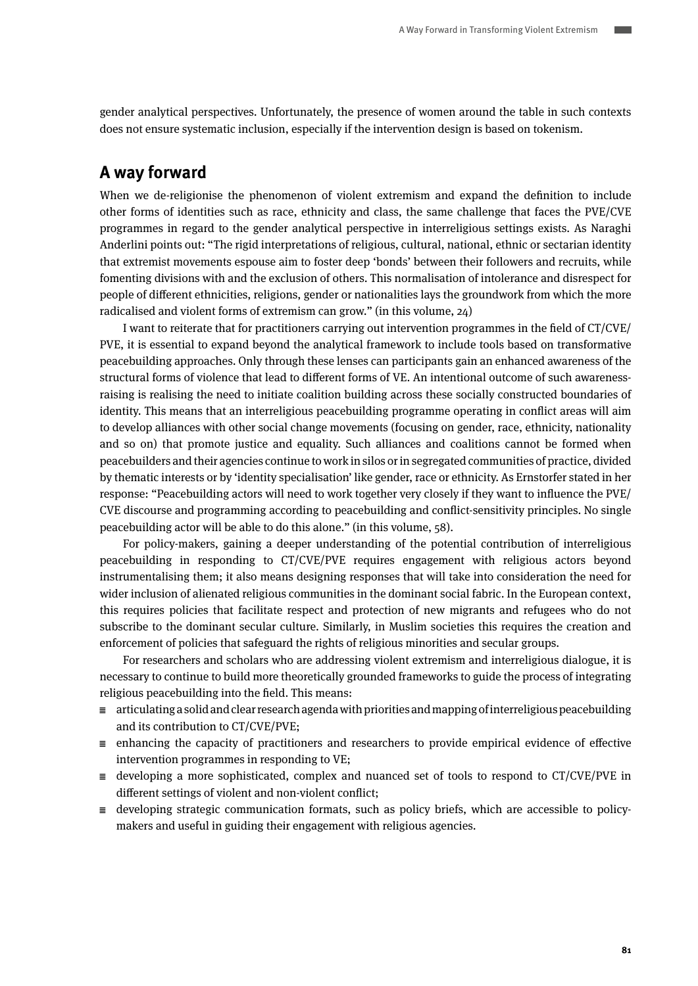gender analytical perspectives. Unfortunately, the presence of women around the table in such contexts does not ensure systematic inclusion, especially if the intervention design is based on tokenism.

## **A way forward**

When we de-religionise the phenomenon of violent extremism and expand the definition to include other forms of identities such as race, ethnicity and class, the same challenge that faces the PVE/CVE programmes in regard to the gender analytical perspective in interreligious settings exists. As Naraghi Anderlini points out: "The rigid interpretations of religious, cultural, national, ethnic or sectarian identity that extremist movements espouse aim to foster deep 'bonds' between their followers and recruits, while fomenting divisions with and the exclusion of others. This normalisation of intolerance and disrespect for people of different ethnicities, religions, gender or nationalities lays the groundwork from which the more radicalised and violent forms of extremism can grow." (in this volume, 24)

I want to reiterate that for practitioners carrying out intervention programmes in the field of CT/CVE/ PVE, it is essential to expand beyond the analytical framework to include tools based on transformative peacebuilding approaches. Only through these lenses can participants gain an enhanced awareness of the structural forms of violence that lead to different forms of VE. An intentional outcome of such awarenessraising is realising the need to initiate coalition building across these socially constructed boundaries of identity. This means that an interreligious peacebuilding programme operating in conflict areas will aim to develop alliances with other social change movements (focusing on gender, race, ethnicity, nationality and so on) that promote justice and equality. Such alliances and coalitions cannot be formed when peacebuilders and their agencies continue to work in silos or in segregated communities of practice, divided by thematic interests or by 'identity specialisation' like gender, race or ethnicity. As Ernstorfer stated in her response: "Peacebuilding actors will need to work together very closely if they want to influence the PVE/ CVE discourse and programming according to peacebuilding and conflict-sensitivity principles. No single peacebuilding actor will be able to do this alone." (in this volume, 58).

For policy-makers, gaining a deeper understanding of the potential contribution of interreligious peacebuilding in responding to CT/CVE/PVE requires engagement with religious actors beyond instrumentalising them; it also means designing responses that will take into consideration the need for wider inclusion of alienated religious communities in the dominant social fabric. In the European context, this requires policies that facilitate respect and protection of new migrants and refugees who do not subscribe to the dominant secular culture. Similarly, in Muslim societies this requires the creation and enforcement of policies that safeguard the rights of religious minorities and secular groups.

For researchers and scholars who are addressing violent extremism and interreligious dialogue, it is necessary to continue to build more theoretically grounded frameworks to guide the process of integrating religious peacebuilding into the field. This means:

- $\equiv$  articulating a solid and clear research agenda with priorities and mapping of interreligious peacebuilding and its contribution to CT/CVE/PVE;
- $\equiv$  enhancing the capacity of practitioners and researchers to provide empirical evidence of effective intervention programmes in responding to VE;
- $\equiv$  developing a more sophisticated, complex and nuanced set of tools to respond to CT/CVE/PVE in different settings of violent and non-violent conflict;
- $\equiv$  developing strategic communication formats, such as policy briefs, which are accessible to policymakers and useful in guiding their engagement with religious agencies.